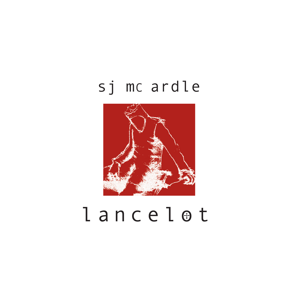## sj mc ardle



## lancelot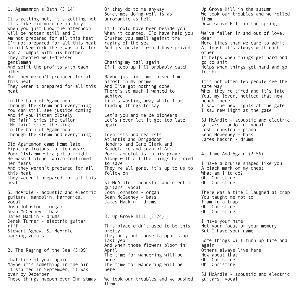1. Agamemnon's Bath (3:14)

It's getting hot, it's getting hot<br>It's getting hot, it's getting hot<br>The proup just know the affernoon<br>Whill be hotter still and I<br>Am not prepared for all this heat<br>I'm not prepared for all this heat<br>In not prepared for a

In the bath of Agamemnon Through the steam and everything You can still see justice coming And if you listen closely 'No fair' cries the tailor 'No fair' cries the king In the bath of Agamemnon Through the steam and everything

Old Agamemnon came home late<br>Fighting Trojans for ten years<br>Poor Clytaemnestra got a fright<br>He wasn't alone, which confirmed<br>her fears<br>And they weren't prepared for all this<br>They weren't prepared for all this<br>heat

SJ McArdle - acoustic and electric<br>guitars, mandolin, harmonica,<br>Josh Johnston - organ<br>Sean McGeeney - bass<br>James Mackin - drums Derek Turner - electric guitar riff Stewart Agnew, SJ McArdle backing vocals

That time of year again Maybe it's something in the air It started in September, it was over by December These things happen over christmas

2. The Raging of the Sea (3:09)

Or they do to me anyway Sometimes doing well is as unromantic as hell

If I could have been beside you When it counted, I'd have held you crushed you small against the raging of the sea And jealously I would have prized it

chasing my tail again If I keep up I'll probably catch it Maybe just in time to see I'm almost in my prime And I've got nothing done There's so much I wanted to achieve Time's wasting away while I am finding things to say

Let's you and me be pioneers Let's never let it get too late again

Idealists and realists Atlantis and Brigadoon Hendrix and Gene clark and Baudelaire and Joan of Arc Poor Lancelot is in his grave Along with all the things he tried to save They're all gone, it's up to us to follow on

SJ McArdle - acoustic and electric guitars, vocal Josh Johnston - organ Sean McGeeney - bass James Mackin - drums

3. Up Grove Hill (3:24)

This place didn't used to be this pretty They only put those lampposts up last year And when those flowers bloom in April The time for wandering will be here The time for wandering will be here We took our troubles and we pushed them

Up Grove Hill in the autumn We took our troubles and we rolled Down Grove Hill in the spring We've fallen in and out of love,<br>More times than we care to admit<br>At least it's always with each<br>other<br>It helps when things get hard and<br>go to shit<br>Helps when things get hard and go<br>helps when things get hard and go<br>to shi It's not often two people see the<br>same way<br>When they're tired and it's late<br>You, my lover, noticed that new bench there I saw the new lights at the gate I saw new light at the gate SJ McArdle - acoustic and electric guitars, mandolin, vocal Josh Johnston - piano Sean McGeeney - bass James Mackin - drums 4. Time And Again (2:56) I have a bruise shaped like you A black mark on my chest What am I to do? Oh, christine Oh, christine There was a time I laughed at crap You taught me not to I am in a trap Oh, christine Oh, christine <sup>I</sup> have your name Not your focus or your memory But <sup>I</sup> have your name Some things will turn up time and<br>again<br>Others always live here<br>How about that<br>Oh, Christine Oh, christine SJ McArdle - acoustic and electric guitars, vocal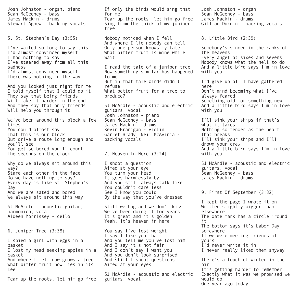Josh Johnston - organ, piano Sean McGeeney - bass<br>James Mackin - drums Stewart Agnew - backing vocals

5. St. Stephen's Day (3:55)

I've waited so long to say this I'd almost convinced myself<br>I had nothing to say<br>I've steered away from all this sadness<br>Sadness I've steered myself<br>There was nothing in the way

And you looked just right for me I told myself that I could do it They say that being friends Will make it harder in the end And they say that only friends Will help you through it

We've been around this block a few times You could almost say That this is our block But drive a route long enough and<br>vou'll see You get so bored you'll count<br>The seconds on the clock

Why do we always sit around this way?<br>Stare each other in the face<br>Do we have nothing to say?<br>Every day is like St. Stephen's<br>Day<br>And we are sated and bored<br>We always sit around this way

SJ McArdle - acoustic guitar,<br>harmonica, vocal<br>Aideen Morrissey - cello

6. Juniper Tree (3:38)

<sup>I</sup> spied <sup>a</sup> girl with eggs in <sup>a</sup> basket <sup>I</sup> lost my head seeking apples in <sup>a</sup> casket And where <sup>I</sup> fell now grows <sup>a</sup> tree What bitter fruit now lies in its lee

Tear up the roots, let him go free

If only the birds would sing that<br>for me<br>Tear up the roots, let him go free<br>Sing from the thick of my juniper tree

Nobody noticed when I fell And where I lie nobody can tell Only one person knows my fate What bitter fruit is mine while I wait

I read the tale of a juniper tree Now something similar has happened to me But in that tale birds didn't refuse What better fruit for a tree to produce?

SJ McArdle - acoustic and electric guitars, vocal Josh Johnston - piano Sean McGeeney - bass James Mackin - drums Kevin Branigan - violin Garret Brady, Neil McAvinia backing vocals

7. Heaven In Here (3:24)

I shoot a question Aimed at your eye You turn your head It goes harmlessly by And you still always talk like You couldn't care less See I know you could By the way that you've dressed

Still we hug and we don't kiss We've been doing it for years It's great and it's golden Yeah, it's heaven in here

You say I've lost weight I say I like your hair And you tell me you've lost him And I say it's not fair And I don't say I want you And you don't look surprised And still I shoot questions Aimed at your eyes

SJ McArdle - acoustic and electric guitars, vocal

Josh Johnston - organ Sean McGeeney - bass<br>James Mackin - drums Gillian Durnin - backing vocals

8. Little Bird (2:39)

Somebody's sinned in the ranks of<br>the heavens<br>Every angel at sixes and sevens<br>Nobody knows what the hell to do<br>And a little bird says I'm in love<br>with you

I'd give up all I have gathered<br>here<br>Don't mind becoming what I've<br>always feared Something old for something new And a little bird says I'm in love with you

I'll sink your ships if that's what it takes Nothing so tender as the heart that breaks I'll sink your ships and I'll drown your crew And a little bird says I'm in love with you

SJ McArdle - acoustic and electric guitars, vocal Sean McGeeney - bass James Mackin - drums

9. First Of September (3:32)

I kept the page I wrote it on Written slightly bigger than elsewhere The date mark has a circle 'round it The bottom says it's Labor Day<br>Somewhere<br>If we were meeting friends of<br>Yours<br>I'd never write it in<br>I never really liked them anyway There's a touch of winter in the air It's getting harder to remember Exactly what it was we promised we would do<br>One year ago today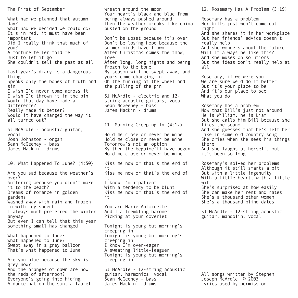The First of September

What had we planned that autumn<br>day?<br>What had we decided we could do?<br>It's in red, it must have been<br>important<br>important<br>Just to let it go<br>Just to let it go She couldn't tell the past at all<br>She couldn't tell the past at a Last year's diary is a dangerous<br>thing<br>Speaks only the bones of truth and<br>sin<br>sin<br>sin<br>sin<br>sin<br>sin l'd thrown it in the bin<br>would that day have made a<br>divide that day have made a<br>Really made it better?<br>Nould it have changed

SJ McArdle - acoustic guitar, vocal Josh Johnston - organ James Mackin - drums

Are you sad because the weather's over?<br>Suffering because you didn't make it to the beach?<br> Dreams of romance in golden gardens<br>Washed away with rain and frozen washed away with rain and frozen in with icy speech<br>I always But even I can tell that this year something small has changed

10. What Happened To June? (4:50)

What happened to June?<br>What happened to June?<br>Swept away in a grey balloon<br>That's what happened to June

Are you blue because the sky is grey now? And the oranges of dawn are now the reds of afternoon? Everyone's going into hiding <sup>A</sup> dunce hat on the sun, <sup>a</sup> laurel wreath around the moon<br>Your heart's black and blue from<br>being always pushed around<br>Then the weather breaks like china busted on the ground

Don't be upset because it's over Don't be losing hope because the summer birds have flown After christmas comes the thaw, love After long, long nights and being frozen to the bone My season will be swept away, and yours come charging in Oh the turning of the wheel and the pulling of the pin

SJ McArdle - electric and 12 string acoustic guitars, vocal Sean McGeeney - bass James Mackin - drums

11. Morning creeping In (4:12)

Hold me close or never be mine Hold me close or never be mine Tomorrow's not an option By then the beguine'll have begun Hold me close or never be mine

Kiss me now or that's the end of it Kiss me now or that's the end of i<sup>+</sup> I know I'm impatient With a tendency to be blunt Kiss me now or that's the end of it

You are Marie-Antoinette And I a trembling baronet Picking at your coverlet

Tonight is young but morning's creeping in Tonight is young but morning's creeping in I know I'm over-eager A sweating little-leaguer Tonight is young but morning's creeping in

SJ McArdle - 12-string acoustic guitar, harmonica, vocal Sean McGeeney - bass James Mackin - drums

12. Rosemary Has A Problem (3:19)

Rosemary has a problem<br>Her bills just won't come out<br>right<br>And she shares it in her workplace<br>And she shares it in her workplace<br>But her friends' advice doesn't<br>whil it always be like this?<br>And she muses on solutions<br>But t

Rosemary, if we were you<br>We are sure we'd do it better<br>But it's your place to be<br>And it's our place to see<br>What you do

Rosemary has a problem Now that Bill's just not around He is William, he is Liam But she calls him Bill because she likes the sound And she guesses that he's left her Like in some old country song She cries when she sees his things<br>there And she laughs at herself, but it's been so long

Rosemary's solved her problems Although it still smarts a bit But with a little ingenuity With a little heart, with a little wit She's surprised at how easily She can make her rent and rates She's a thousand other women She's a thousand blind dates

SJ McArdle - 12-string acoustic guitar, mandolin, vocal

All songs written by Stephen Joseph McArdle, © <sup>2003</sup> Lyrics used by permission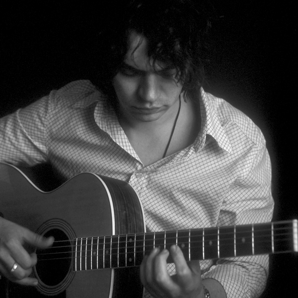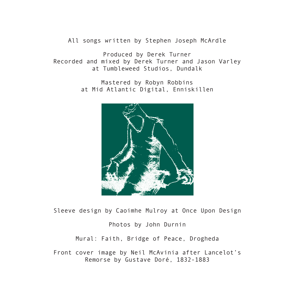All songs written by Stephen Joseph McArdle

Produced by Derek Turner Recorded and mixed by Derek Turner and Jason Varley at Tumbleweed Studios, Dundalk

> Mastered by Robyn Robbins at Mid Atlantic Digital, Enniskillen



Sleeve design by caoimhe Mulroy at Once Upon Design

Photos by John Durnin

Mural: Faith, Bridge of Peace, Drogheda

Front cover image by Neil McAvinia after Lancelot's Remorse by Gustave Doré, 1832-1883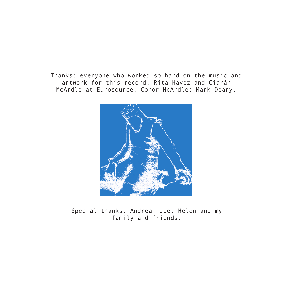Thanks: everyone who worked so hard on the music and artwork for this record; Rita Havez and ciarán McArdle at Eurosource; conor McArdle; Mark Deary.



Special thanks: Andrea, Joe, Helen and my family and friends.